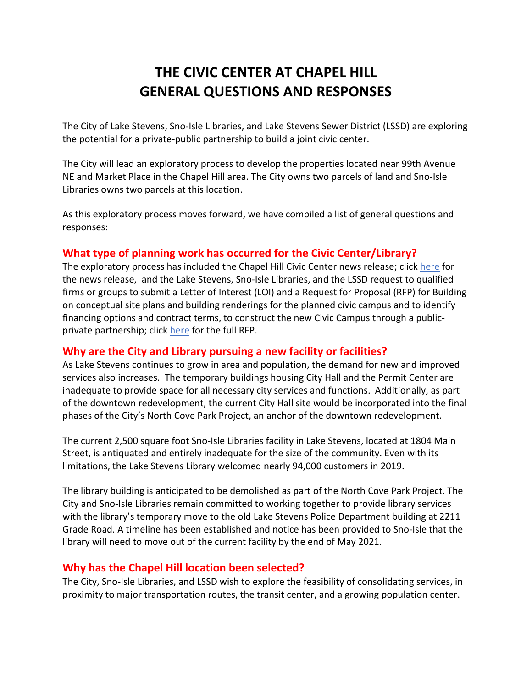# **THE CIVIC CENTER AT CHAPEL HILL GENERAL QUESTIONS AND RESPONSES**

The City of Lake Stevens, Sno-Isle Libraries, and Lake Stevens Sewer District (LSSD) are exploring the potential for a private-public partnership to build a joint civic center.

The City will lead an exploratory process to develop the properties located near 99th Avenue NE and Market Place in the Chapel Hill area. The City owns two parcels of land and Sno-Isle Libraries owns two parcels at this location.

As this exploratory process moves forward, we have compiled a list of general questions and responses:

## **What type of planning work has occurred for the Civic Center/Library?**

The exploratory process has included the Chapel Hill Civic Center news release; clic[k here](https://www.lakestevenswa.gov/DocumentCenter/View/8516/Final-News-Release---City-Hall-RFP_5-13-2020) for the news release, and the Lake Stevens, Sno-Isle Libraries, and the LSSD request to qualified firms or groups to submit a Letter of Interest (LOI) and a Request for Proposal (RFP) for Building on conceptual site plans and building renderings for the planned civic campus and to identify financing options and contract terms, to construct the new Civic Campus through a publicprivate partnership; clic[k here](https://www.lakestevenswa.gov/DocumentCenter/View/8519/City-Hall_RFP-Final_5-4-2020) for the full RFP.

### **Why are the City and Library pursuing a new facility or facilities?**

As Lake Stevens continues to grow in area and population, the demand for new and improved services also increases. The temporary buildings housing City Hall and the Permit Center are inadequate to provide space for all necessary city services and functions. Additionally, as part of the downtown redevelopment, the current City Hall site would be incorporated into the final phases of the City's North Cove Park Project, an anchor of the downtown redevelopment.

The current 2,500 square foot Sno-Isle Libraries facility in Lake Stevens, located at 1804 Main Street, is antiquated and entirely inadequate for the size of the community. Even with its limitations, the Lake Stevens Library welcomed nearly 94,000 customers in 2019.

The library building is anticipated to be demolished as part of the North Cove Park Project. The City and Sno-Isle Libraries remain committed to working together to provide library services with the library's temporary move to the old Lake Stevens Police Department building at 2211 Grade Road. A timeline has been established and notice has been provided to Sno-Isle that the library will need to move out of the current facility by the end of May 2021.

### **Why has the Chapel Hill location been selected?**

The City, Sno-Isle Libraries, and LSSD wish to explore the feasibility of consolidating services, in proximity to major transportation routes, the transit center, and a growing population center.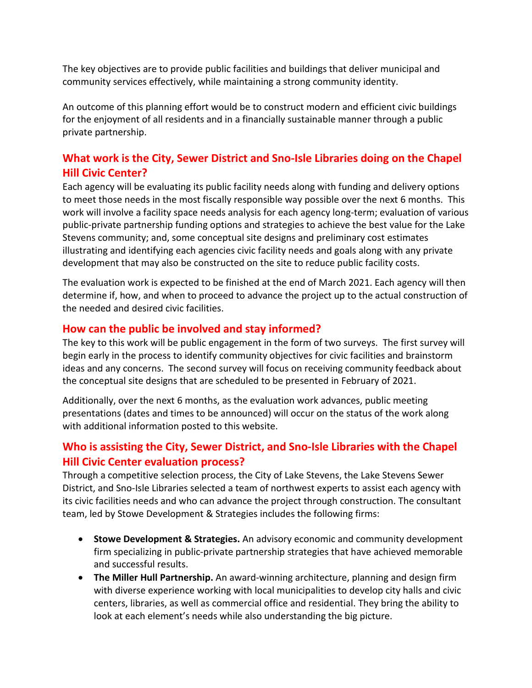The key objectives are to provide public facilities and buildings that deliver municipal and community services effectively, while maintaining a strong community identity.

An outcome of this planning effort would be to construct modern and efficient civic buildings for the enjoyment of all residents and in a financially sustainable manner through a public private partnership.

## **What work is the City, Sewer District and Sno-Isle Libraries doing on the Chapel Hill Civic Center?**

Each agency will be evaluating its public facility needs along with funding and delivery options to meet those needs in the most fiscally responsible way possible over the next 6 months. This work will involve a facility space needs analysis for each agency long-term; evaluation of various public-private partnership funding options and strategies to achieve the best value for the Lake Stevens community; and, some conceptual site designs and preliminary cost estimates illustrating and identifying each agencies civic facility needs and goals along with any private development that may also be constructed on the site to reduce public facility costs.

The evaluation work is expected to be finished at the end of March 2021. Each agency will then determine if, how, and when to proceed to advance the project up to the actual construction of the needed and desired civic facilities.

### **How can the public be involved and stay informed?**

The key to this work will be public engagement in the form of two surveys. The first survey will begin early in the process to identify community objectives for civic facilities and brainstorm ideas and any concerns. The second survey will focus on receiving community feedback about the conceptual site designs that are scheduled to be presented in February of 2021.

Additionally, over the next 6 months, as the evaluation work advances, public meeting presentations (dates and times to be announced) will occur on the status of the work along with additional information posted to this website.

## **Who is assisting the City, Sewer District, and Sno-Isle Libraries with the Chapel Hill Civic Center evaluation process?**

Through a competitive selection process, the City of Lake Stevens, the Lake Stevens Sewer District, and Sno-Isle Libraries selected a team of northwest experts to assist each agency with its civic facilities needs and who can advance the project through construction. The consultant team, led by Stowe Development & Strategies includes the following firms:

- **Stowe Development & Strategies.** An advisory economic and community development firm specializing in public-private partnership strategies that have achieved memorable and successful results.
- **The Miller Hull Partnership.** An award-winning architecture, planning and design firm with diverse experience working with local municipalities to develop city halls and civic centers, libraries, as well as commercial office and residential. They bring the ability to look at each element's needs while also understanding the big picture.